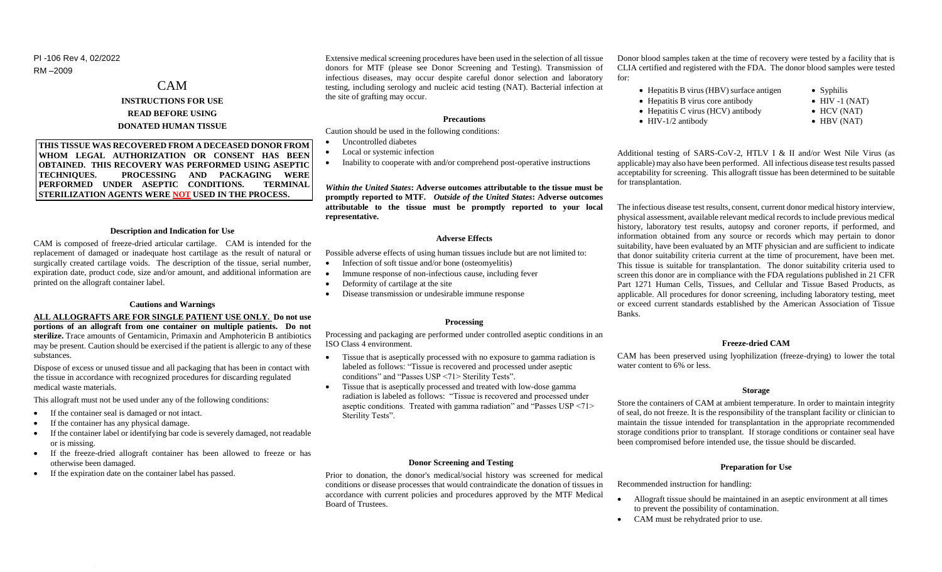PI -106 Rev 4, 02/2022 RM –2009

# CAM **INSTRUCTIONS FOR USE READ BEFORE USING DONATED HUMAN TISSUE**

**THIS TISSUE WAS RECOVERED FROM A DECEASED DONOR FROM WHOM LEGAL AUTHORIZATION OR CONSENT HAS BEEN OBTAINED. THIS RECOVERY WAS PERFORMED USING ASEPTIC TECHNIQUES. PROCESSING AND PACKAGING WERE PERFORMED UNDER ASEPTIC CONDITIONS. TERMINAL STERILIZATION AGENTS WERE NOT USED IN THE PROCESS.**

### **Description and Indication for Use**

CAM is composed of freeze-dried articular cartilage. CAM is intended for the replacement of damaged or inadequate host cartilage as the result of natural or surgically created cartilage voids. The description of the tissue, serial number, expiration date, product code, size and/or amount, and additional information are printed on the allograft container label.

# **Cautions and Warnings**

**ALL ALLOGRAFTS ARE FOR SINGLE PATIENT USE ONLY. Do not use portions of an allograft from one container on multiple patients. Do not sterilize.** Trace amounts of Gentamicin, Primaxin and Amphotericin B antibiotics may be present. Caution should be exercised if the patient is allergic to any of these substances.

Dispose of excess or unused tissue and all packaging that has been in contact with the tissue in accordance with recognized procedures for discarding regulated medical waste materials.

This allograft must not be used under any of the following conditions:

- If the container seal is damaged or not intact.
- If the container has any physical damage.
- If the container label or identifying bar code is severely damaged, not readable or is missing.
- If the freeze-dried allograft container has been allowed to freeze or has otherwise been damaged.
- If the expiration date on the container label has passed.

Extensive medical screening procedures have been used in the selection of all tissue donors for MTF (please see Donor Screening and Testing). Transmission of infectious diseases, may occur despite careful donor selection and laboratory testing, including serology and nucleic acid testing (NAT). Bacterial infection at the site of grafting may occur.

### **Precautions**

Caution should be used in the following conditions:

- Uncontrolled diabetes
- Local or systemic infection
- Inability to cooperate with and/or comprehend post-operative instructions

*Within the United States***: Adverse outcomes attributable to the tissue must be promptly reported to MTF.** *Outside of the United States***: Adverse outcomes attributable to the tissue must be promptly reported to your local representative.**

### **Adverse Effects**

Possible adverse effects of using human tissues include but are not limited to:

- Infection of soft tissue and/or bone (osteomyelitis)
- Immune response of non-infectious cause, including fever
- Deformity of cartilage at the site
- Disease transmission or undesirable immune response

# **Processing**

Processing and packaging are performed under controlled aseptic conditions in an ISO Class 4 environment.

- Tissue that is aseptically processed with no exposure to gamma radiation is labeled as follows: "Tissue is recovered and processed under aseptic conditions" and "Passes USP <71> Sterility Tests".
- Tissue that is aseptically processed and treated with low-dose gamma radiation is labeled as follows: "Tissue is recovered and processed under aseptic conditions. Treated with gamma radiation" and "Passes USP <71> Sterility Tests".

### **Donor Screening and Testing**

Prior to donation, the donor's medical/social history was screened for medical conditions or disease processes that would contraindicate the donation of tissues in accordance with current policies and procedures approved by the MTF Medical Board of Trustees.

Donor blood samples taken at the time of recovery were tested by a facility that is CLIA certified and registered with the FDA. The donor blood samples were tested for:

- Hepatitis B virus (HBV) surface antigen • Syphilis
- Hepatitis B virus core antibody
- Hepatitis C virus (HCV) antibody
- $\bullet$  HIV-1/2 antibody
- 
- HCV (NAT)
- 
- 
- HBV (NAT)
- 
- 

 $\bullet$  HIV -1 (NAT)

Additional testing of SARS-CoV-2, HTLV I & II and/or West Nile Virus (as applicable) may also have been performed. All infectious disease test results passed acceptability for screening. This allograft tissue has been determined to be suitable for transplantation.

The infectious disease test results, consent, current donor medical history interview, physical assessment, available relevant medical records to include previous medical history, laboratory test results, autopsy and coroner reports, if performed, and information obtained from any source or records which may pertain to donor suitability, have been evaluated by an MTF physician and are sufficient to indicate that donor suitability criteria current at the time of procurement, have been met. This tissue is suitable for transplantation. The donor suitability criteria used to screen this donor are in compliance with the FDA regulations published in 21 CFR Part 1271 Human Cells, Tissues, and Cellular and Tissue Based Products, as applicable. All procedures for donor screening, including laboratory testing, meet or exceed current standards established by the American Association of Tissue Banks.

### **Freeze-dried CAM**

CAM has been preserved using lyophilization (freeze-drying) to lower the total water content to 6% or less.

#### **Storage**

Store the containers of CAM at ambient temperature. In order to maintain integrity of seal, do not freeze. It is the responsibility of the transplant facility or clinician to maintain the tissue intended for transplantation in the appropriate recommended storage conditions prior to transplant. If storage conditions or container seal have been compromised before intended use, the tissue should be discarded.

# **Preparation for Use**

Recommended instruction for handling:

- Allograft tissue should be maintained in an aseptic environment at all times to prevent the possibility of contamination.
- CAM must be rehydrated prior to use.